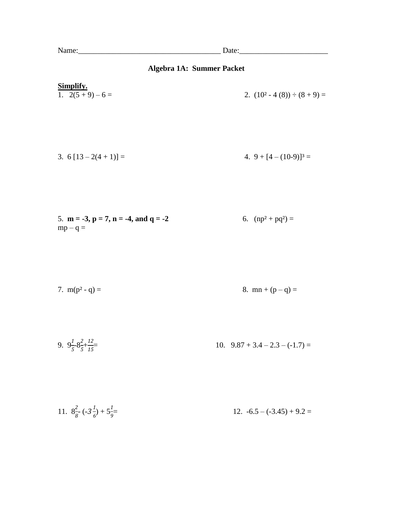## **Algebra 1A: Summer Packet**

| Simplify.<br>1. $2(5+9)-6=$                                   | 2. $(10^2 - 4(8)) \div (8 + 9) =$ |
|---------------------------------------------------------------|-----------------------------------|
| 3. $6[13-2(4+1)] =$                                           | 4. 9 + $[4 - (10-9)]^3$ =         |
| 5. $m = -3$ , $p = 7$ , $n = -4$ , and $q = -2$<br>$mp - q =$ | 6. $(np^2 + pq^2) =$              |
| 7. $m(p^2 - q) =$                                             | 8. $mn + (p - q) =$               |
| 9. $9\frac{1}{5} - 8\frac{2}{5} + \frac{12}{15} =$            | 10. $9.87 + 3.4 - 2.3 - (-1.7) =$ |
|                                                               |                                   |

11.  $8\frac{2}{8} \cdot (-3\frac{1}{6})$  $\frac{1}{6}$ ) + 5 $\frac{1}{9}$ 12.  $-6.5 - (-3.45) + 9.2 =$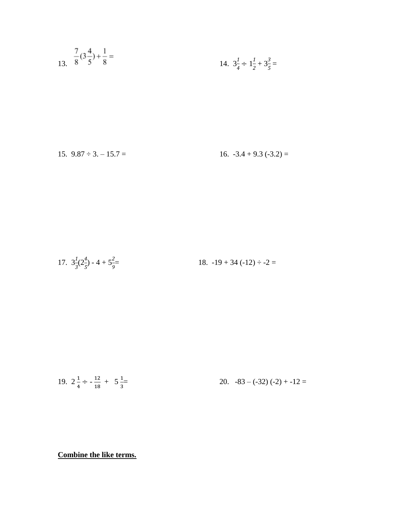13. 
$$
\frac{7}{8}(3\frac{4}{5}) + \frac{1}{8} =
$$
  
14.  $3\frac{1}{4} \div 1\frac{1}{2} + 3\frac{3}{5} =$ 

15. 
$$
9.87 \div 3. - 15.7 =
$$
 16.  $-3.4 + 9.3$   $(-3.2) =$ 

17. 
$$
3\frac{1}{3}(2\frac{4}{5}) - 4 + 5\frac{2}{9} =
$$
 18.  $-19 + 34(-12) \div -2 =$ 

19. 
$$
2\frac{1}{4} \div -\frac{12}{18} + 5\frac{1}{3} =
$$
 20.  $-83 - (-32)(-2) + -12 =$ 

**Combine the like terms.**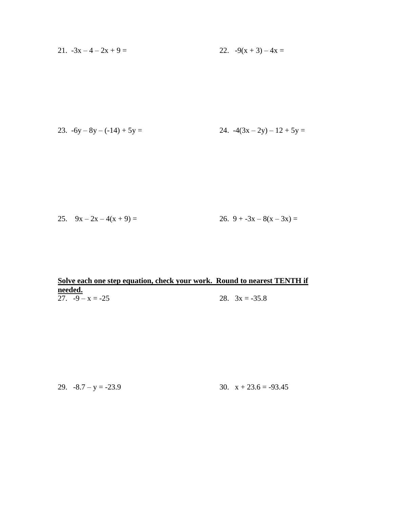21. 
$$
-3x - 4 - 2x + 9 = 22
$$
.  $-9(x + 3) - 4x = 2$ 

23. 
$$
-6y - 8y - (-14) + 5y = 24. -4(3x - 2y) - 12 + 5y = 24
$$

25. 
$$
9x - 2x - 4(x + 9) =
$$
  
26.  $9 + -3x - 8(x - 3x) =$ 

## **Solve each one step equation, check your work. Round to nearest TENTH if needed.** 27.  $-9 - x = -25$  28.  $3x = -35.8$

29.  $-8.7 - y = -23.9$  30.  $x + 23.6 = -93.45$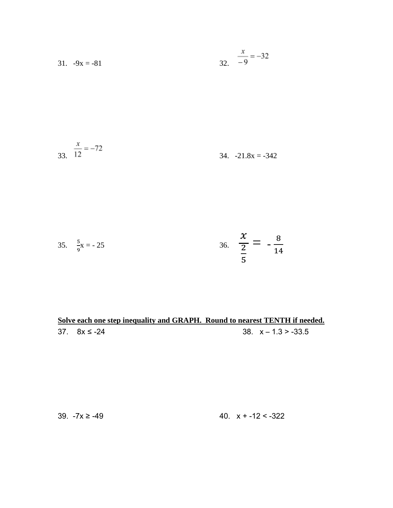31. 
$$
-9x = -81
$$
  $\frac{x}{32} = -32$ 

$$
\frac{x}{12} = -72
$$
 34. -21.8x = -342

35. 
$$
\frac{5}{9}x = -25
$$
 36.  $\frac{x}{\frac{2}{5}} = -\frac{8}{14}$ 

**Solve each one step inequality and GRAPH. Round to nearest TENTH if needed.**  $37. \quad 8x \le -24$  38.  $x - 1.3 > -33.5$ 

 $39. -7x ≥ -49$  40.  $x + -12 < -322$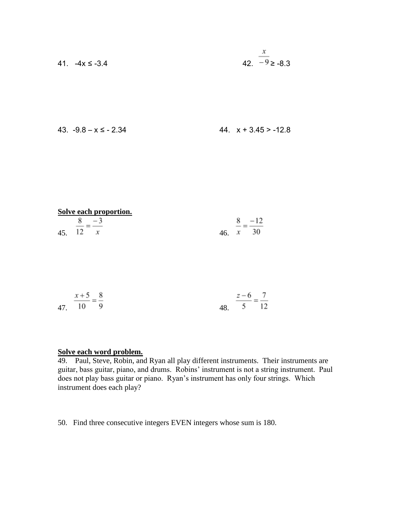41. 
$$
-4x \le -3.4
$$
 42.  $\frac{x}{-9} \ge -8.3$ 

$$
43. -9.8 - x \le -2.34
$$

| Solve each proportion. |                         |
|------------------------|-------------------------|
| $8 - 3$                | 8 <sup>1</sup><br>$-12$ |
| 45. 12 $x$             | 46 $x = 30$             |

| $x+5$ 8  |  | $z-6$ 7              |  |
|----------|--|----------------------|--|
| 47. 10 9 |  | ---<br>48. $5 \t 12$ |  |

## **Solve each word problem.**

49. Paul, Steve, Robin, and Ryan all play different instruments. Their instruments are guitar, bass guitar, piano, and drums. Robins' instrument is not a string instrument. Paul does not play bass guitar or piano. Ryan's instrument has only four strings. Which instrument does each play?

50. Find three consecutive integers EVEN integers whose sum is 180.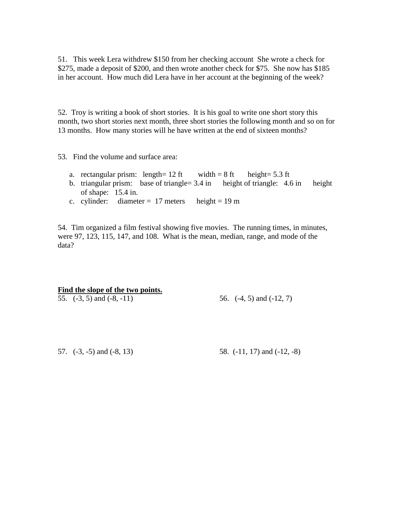51. This week Lera withdrew \$150 from her checking account She wrote a check for \$275, made a deposit of \$200, and then wrote another check for \$75. She now has \$185 in her account. How much did Lera have in her account at the beginning of the week?

52. Troy is writing a book of short stories. It is his goal to write one short story this month, two short stories next month, three short stories the following month and so on for 13 months. How many stories will he have written at the end of sixteen months?

53. Find the volume and surface area:

- a. rectangular prism: length=  $12 \text{ ft}$  width =  $8 \text{ ft}$  height=  $5.3 \text{ ft}$
- b. triangular prism: base of triangle= 3.4 in height of triangle: 4.6 in height of shape: 15.4 in.
- c. cylinder: diameter =  $17$  meters height =  $19$  m

54. Tim organized a film festival showing five movies. The running times, in minutes, were 97, 123, 115, 147, and 108. What is the mean, median, range, and mode of the data?

**Find the slope of the two points.**

55. (-3, 5) and (-8, -11) 56. (-4, 5) and (-12, 7)

57. (-3, -5) and (-8, 13) 58. (-11, 17) and (-12, -8)